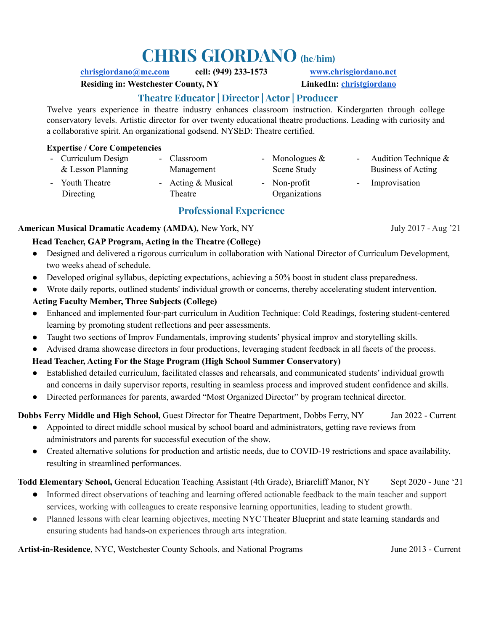# **CHRIS GIORDANO (he/him)**

#### **[chrisgiordano@me.com](mailto:chrisgiordano@me.com) cell: (949) 233-1573 [www.chrisgiordano.net](http://www.chrisgiordano.net)**

**Residing in: Westchester County, NY LinkedIn: [christgiordano](https://www.linkedin.com/in/christgiordano/)**

# **Theatre Educator | Director | Actor | Producer**

Twelve years experience in theatre industry enhances classroom instruction. Kindergarten through college conservatory levels. Artistic director for over twenty educational theatre productions. Leading with curiosity and a collaborative spirit. An organizational godsend. NYSED: Theatre certified.

#### **Expertise / Core Competencies**

| - Curriculum Design<br>& Lesson Planning | - Classroom<br>Management | - Monologues $\&$<br>Scene Study | - Audition Technique $\&$<br>Business of Acting |
|------------------------------------------|---------------------------|----------------------------------|-------------------------------------------------|
| - Youth Theatre                          | - Acting $&$ Musical      | - Non-profit                     | - Improvisation                                 |
| Directing                                | Theatre                   | Organizations                    |                                                 |

# **Professional Experience**

#### **American Musical Dramatic Academy (AMDA),** New York, NY July 2017 - Aug '21

#### **Head Teacher, GAP Program, Acting in the Theatre (College)**

- **●** Designed and delivered a rigorous curriculum in collaboration with National Director of Curriculum Development, two weeks ahead of schedule.
- **●** Developed original syllabus, depicting expectations, achieving a 50% boost in student class preparedness.
- **●** Wrote daily reports, outlined students' individual growth or concerns, thereby accelerating student intervention.

### **Acting Faculty Member, Three Subjects (College)**

- Enhanced and implemented four-part curriculum in Audition Technique: Cold Readings, fostering student-centered learning by promoting student reflections and peer assessments.
- Taught two sections of Improv Fundamentals, improving students' physical improv and storytelling skills.
- **●** Advised drama showcase directors in four productions, leveraging student feedback in all facets of the process.

### **Head Teacher, Acting For the Stage Program (High School Summer Conservatory)**

- **●** Established detailed curriculum, facilitated classes and rehearsals, and communicated students' individual growth and concerns in daily supervisor reports, resulting in seamless process and improved student confidence and skills.
- **●** Directed performances for parents, awarded "Most Organized Director" by program technical director.

### **Dobbs Ferry Middle and High School,** Guest Director for Theatre Department, Dobbs Ferry, NY Jan 2022 - Current

- Appointed to direct middle school musical by school board and administrators, getting rave reviews from administrators and parents for successful execution of the show.
- Created alternative solutions for production and artistic needs, due to COVID-19 restrictions and space availability, resulting in streamlined performances.

### Todd Elementary School, General Education Teaching Assistant (4th Grade), Briarcliff Manor, NY Sept 2020 - June '21

- Informed direct observations of teaching and learning offered actionable feedback to the main teacher and support services, working with colleagues to create responsive learning opportunities, leading to student growth.
- Planned lessons with clear learning objectives, meeting NYC Theater Blueprint and state learning standards and ensuring students had hands-on experiences through arts integration.

**Artist-in-Residence**, NYC, Westchester County Schools, and National Programs June 2013 - Current